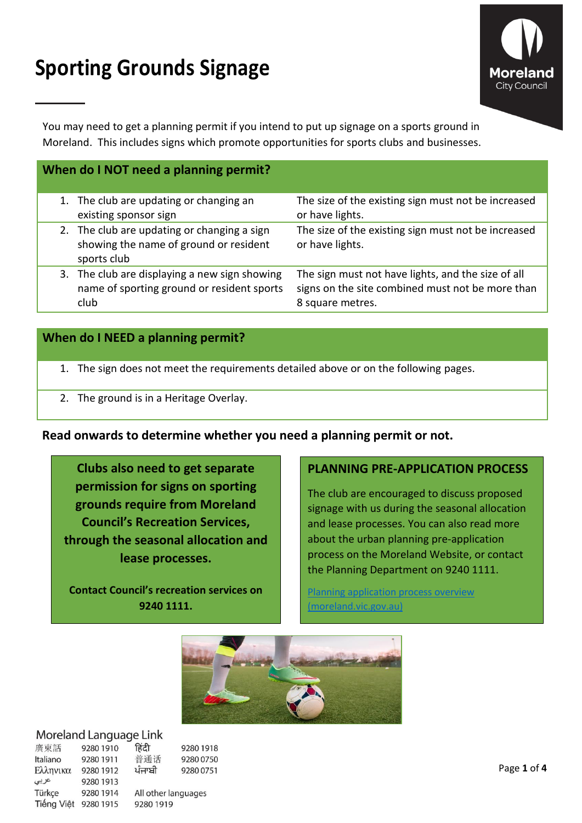# **Sporting Grounds Signage**



You may need to get a planning permit if you intend to put up signage on a sports ground in Moreland. This includes signs which promote opportunities for sports clubs and businesses.

### **When do I NOT need a planning permit?**

|  | 1. The club are updating or changing an<br>existing sponsor sign                                     | The size of the existing sign must not be increased<br>or have lights.                                                     |
|--|------------------------------------------------------------------------------------------------------|----------------------------------------------------------------------------------------------------------------------------|
|  | 2. The club are updating or changing a sign<br>showing the name of ground or resident<br>sports club | The size of the existing sign must not be increased<br>or have lights.                                                     |
|  | 3. The club are displaying a new sign showing<br>name of sporting ground or resident sports<br>club  | The sign must not have lights, and the size of all<br>signs on the site combined must not be more than<br>8 square metres. |

### **When do I NEED a planning permit?**

- 1. The sign does not meet the requirements detailed above or on the following pages.
- 2. The ground is in a Heritage Overlay.

#### **Read onwards to determine whether you need a planning permit or not.**

**Clubs also need to get separate permission for signs on sporting grounds require from Moreland Council's Recreation Services, through the seasonal allocation and lease processes.**

**Contact Council's recreation services on 9240 1111.**

### **PLANNING PRE-APPLICATION PROCESS**

The club are encouraged to discuss proposed signage with us during the seasonal allocation and lease processes. You can also read more about the urban planning pre-application process on the Moreland Website, or contact the Planning Department on 9240 1111.

Planning application process overview [\(moreland.vic.gov.au\)](https://www.moreland.vic.gov.au/building-and-business/planning-and-building/planning/planning-application-process/)



### Moreland Language Link

| 廣東話        | 9280 1910 | हिंदी               | 9280 1918 |
|------------|-----------|---------------------|-----------|
| Italiano   | 9280 1911 | 普通话                 | 92800750  |
| Ελληνικα   | 9280 1912 | ਪੰਜਾਬੀ              | 9280 0751 |
| عربى       | 9280 1913 |                     |           |
| Türkçe     | 9280 1914 | All other languages |           |
| Tiếng Việt | 9280 1915 | 9280 1919           |           |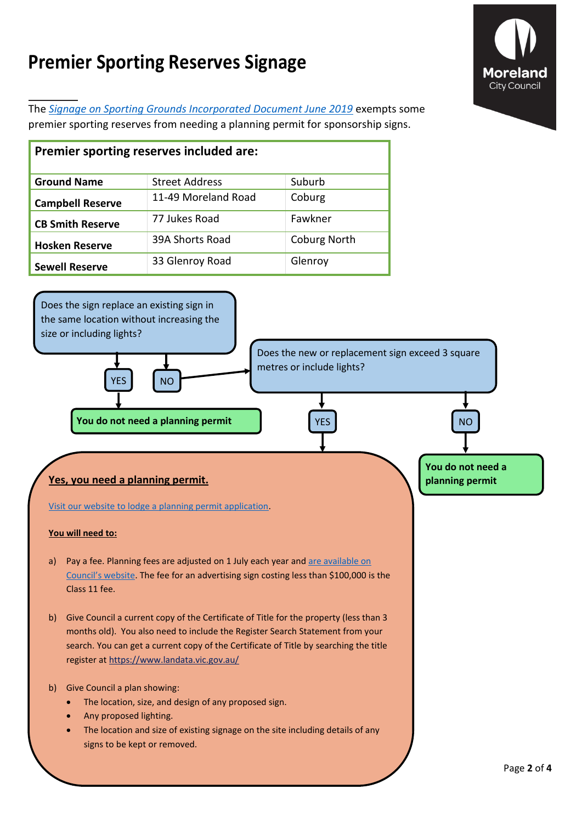### **Premier Sporting Reserves Signage**



The *Signage [on Sporting Grounds Incorporated Document June 2019](https://www.planning.vic.gov.au/__data/assets/pdf_file/0018/441540/more-C169more-Signage-on-sports-grounds-Incorporated-Document-June-2019.pdf)* exempts some premier sporting reserves from needing a planning permit for sponsorship signs.

| Premier sporting reserves included are: |                       |                     |  |
|-----------------------------------------|-----------------------|---------------------|--|
| <b>Ground Name</b>                      | <b>Street Address</b> | Suburb              |  |
| <b>Campbell Reserve</b>                 | 11-49 Moreland Road   | Coburg              |  |
| <b>CB Smith Reserve</b>                 | 77 Jukes Road         | Fawkner             |  |
| <b>Hosken Reserve</b>                   | 39A Shorts Road       | <b>Coburg North</b> |  |
| <b>Sewell Reserve</b>                   | 33 Glenroy Road       | Glenroy             |  |

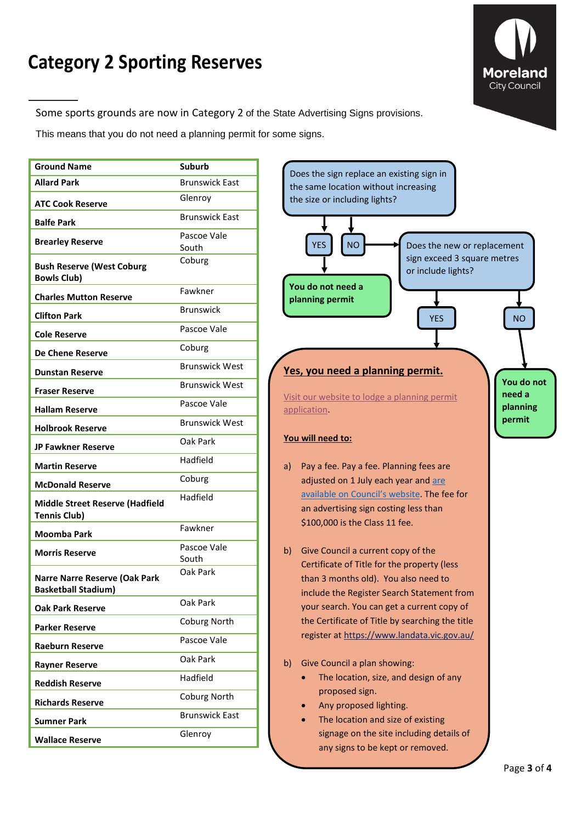## **Category 2 Sporting Reserves**



Some sports grounds are now in Category 2 of the State Advertising Signs provisions.

This means that you do not need a planning permit for some signs.

| <b>Ground Name</b>                                                 | <b>Suburb</b>         |  |
|--------------------------------------------------------------------|-----------------------|--|
| <b>Allard Park</b>                                                 | <b>Brunswick East</b> |  |
| <b>ATC Cook Reserve</b>                                            | Glenroy               |  |
| <b>Balfe Park</b>                                                  | <b>Brunswick East</b> |  |
| <b>Brearley Reserve</b>                                            | Pascoe Vale<br>South  |  |
| <b>Bush Reserve (West Coburg</b><br><b>Bowls Club)</b>             | Coburg                |  |
| <b>Charles Mutton Reserve</b>                                      | Fawkner               |  |
| <b>Clifton Park</b>                                                | <b>Brunswick</b>      |  |
| <b>Cole Reserve</b>                                                | Pascoe Vale           |  |
| De Chene Reserve                                                   | Coburg                |  |
| <b>Dunstan Reserve</b>                                             | <b>Brunswick West</b> |  |
| <b>Fraser Reserve</b>                                              | <b>Brunswick West</b> |  |
| <b>Hallam Reserve</b>                                              | Pascoe Vale           |  |
| <b>Holbrook Reserve</b>                                            | <b>Brunswick West</b> |  |
| <b>JP Fawkner Reserve</b>                                          | Oak Park              |  |
| <b>Martin Reserve</b>                                              | Hadfield              |  |
| <b>McDonald Reserve</b>                                            | Coburg                |  |
| <b>Middle Street Reserve (Hadfield</b><br><b>Tennis Club)</b>      | Hadfield              |  |
| Moomba Park                                                        | Fawkner               |  |
| <b>Morris Reserve</b>                                              | Pascoe Vale<br>South  |  |
| <b>Narre Narre Reserve (Oak Park</b><br><b>Basketball Stadium)</b> | Oak Park              |  |
| <b>Oak Park Reserve</b>                                            | Oak Park              |  |
| <b>Parker Reserve</b>                                              | <b>Coburg North</b>   |  |
| <b>Raeburn Reserve</b>                                             | Pascoe Vale           |  |
| <b>Rayner Reserve</b>                                              | Oak Park              |  |
| <b>Reddish Reserve</b>                                             | Hadfield              |  |
| <b>Richards Reserve</b>                                            | Coburg North          |  |
| <b>Sumner Park</b>                                                 | <b>Brunswick East</b> |  |
| <b>Wallace Reserve</b>                                             | Glenroy               |  |



any signs to be kept or removed.